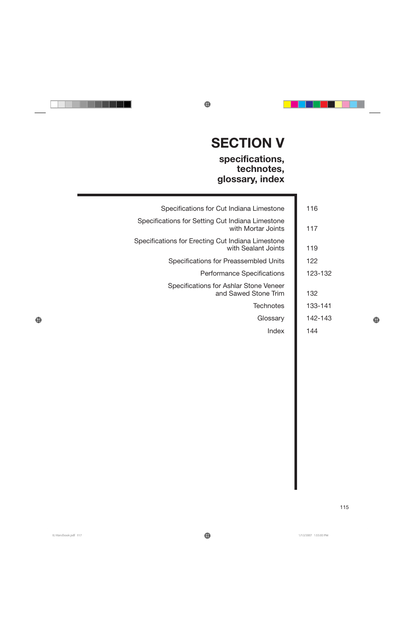# **SECTION V**

# **specifications, technotes, glossary, index**

| 116     | Specifications for Cut Indiana Limestone                                 |
|---------|--------------------------------------------------------------------------|
| 117     | Specifications for Setting Cut Indiana Limestone<br>with Mortar Joints   |
| 119     | Specifications for Erecting Cut Indiana Limestone<br>with Sealant Joints |
| 122     | <b>Specifications for Preassembled Units</b>                             |
| 123-132 | <b>Performance Specifications</b>                                        |
| 132     | Specifications for Ashlar Stone Veneer<br>and Sawed Stone Trim           |
| 133-141 | <b>Technotes</b>                                                         |
| 142-143 | Glossary                                                                 |
| 144     | Index                                                                    |
|         |                                                                          |
|         |                                                                          |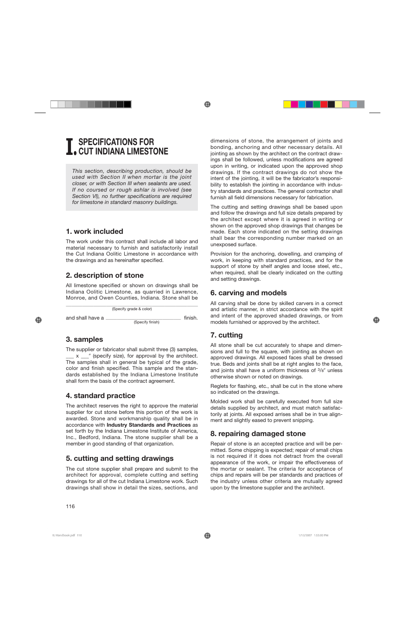# **I.SPECIFICATIONS FOR CUT INDIANA LIMESTONE**

*This section, describing production, should be used with Section II when mortar is the joint closer, or with Section III when sealants are used. If no coursed or rough ashlar is involved (see Section VI), no further specifications are required for limestone in standard masonry buildings.*

#### **1. work included**

The work under this contract shall include all labor and material necessary to furnish and satisfactorily install the Cut Indiana Oolitic Limestone in accordance with the drawings and as hereinafter specified.

## **2. description of stone**

All limestone specified or shown on drawings shall be Indiana Oolitic Limestone, as quarried in Lawrence, Monroe, and Owen Counties, Indiana. Stone shall be

### **3. samples**

The supplier or fabricator shall submit three (3) samples, \_\_\_ x \_\_\_" (specify size), for approval by the architect. The samples shall in general be typical of the grade, color and finish specified. This sample and the standards established by the Indiana Limestone Institute shall form the basis of the contract agreement.

### **4. standard practice**

The architect reserves the right to approve the material supplier for cut stone before this portion of the work is awarded. Stone and workmanship quality shall be in accordance with **Industry Standards and Practices** as set forth by the Indiana Limestone Institute of America, Inc., Bedford, Indiana. The stone supplier shall be a member in good standing of that organization.

### **5. cutting and setting drawings**

The cut stone supplier shall prepare and submit to the architect for approval, complete cutting and setting drawings for all of the cut Indiana Limestone work. Such drawings shall show in detail the sizes, sections, and dimensions of stone, the arrangement of joints and bonding, anchoring and other necessary details. All jointing as shown by the architect on the contract drawings shall be followed, unless modifications are agreed upon in writing, or indicated upon the approved shop drawings. If the contract drawings do not show the intent of the jointing, it will be the fabricator's responsibility to establish the jointing in accordance with industry standards and practices. The general contractor shall furnish all field dimensions necessary for fabrication.

The cutting and setting drawings shall be based upon and follow the drawings and full size details prepared by the architect except where it is agreed in writing or shown on the approved shop drawings that changes be made. Each stone indicated on the setting drawings shall bear the corresponding number marked on an unexposed surface.

Provision for the anchoring, dowelling, and cramping of work, in keeping with standard practices, and for the support of stone by shelf angles and loose steel, etc., when required, shall be clearly indicated on the cutting and setting drawings.

#### **6. carving and models**

All carving shall be done by skilled carvers in a correct and artistic manner, in strict accordance with the spirit and intent of the approved shaded drawings, or from models furnished or approved by the architect.

# **7. cutting**

All stone shall be cut accurately to shape and dimensions and full to the square, with jointing as shown on approved drawings. All exposed faces shall be dressed true. Beds and joints shall be at right angles to the face, and joints shall have a uniform thickness of  $3/8$ " unless otherwise shown or noted on drawings.

Reglets for flashing, etc., shall be cut in the stone where so indicated on the drawings.

Molded work shall be carefully executed from full size details supplied by architect, and must match satisfactorily at joints. All exposed arrises shall be in true alignment and slightly eased to prevent snipping.

### **8. repairing damaged stone**

Repair of stone is an accepted practice and will be permitted. Some chipping is expected; repair of small chips is not required if it does not detract from the overall appearance of the work, or impair the effectiveness of the mortar or sealant. The criteria for acceptance of chips and repairs will be per standards and practices of the industry unless other criteria are mutually agreed upon by the limestone supplier and the architect.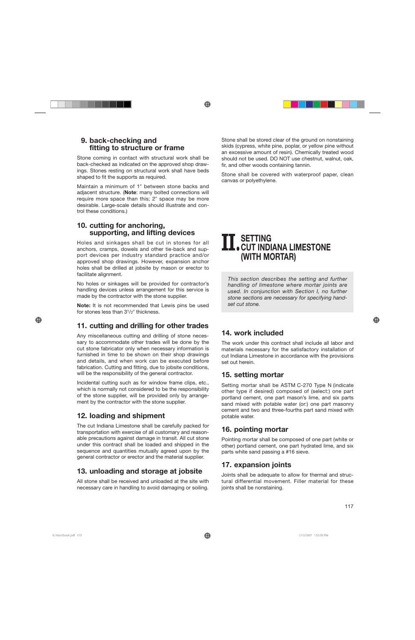#### **09. back-checking and fitting to structure or frame**

Stone coming in contact with structural work shall be back-checked as indicated on the approved shop drawings. Stones resting on structural work shall have beds shaped to fit the supports as required.

Maintain a minimum of 1" between stone backs and adjacent structure. (**Note**: many bolted connections will require more space than this; 2" space may be more desirable. Large-scale details should illustrate and control these conditions.)

#### **10. cutting for anchoring, supporting, and lifting devices**

Holes and sinkages shall be cut in stones for all anchors, cramps, dowels and other tie-back and support devices per industry standard practice and/or approved shop drawings. However, expansion anchor holes shall be drilled at jobsite by mason or erector to facilitate alignment.

No holes or sinkages will be provided for contractor's handling devices unless arrangement for this service is made by the contractor with the stone supplier.

**Note:** It is not recommended that Lewis pins be used for stones less than  $3^{1}/2''$  thickness.

#### **11. cutting and drilling for other trades**

Any miscellaneous cutting and drilling of stone necessary to accommodate other trades will be done by the cut stone fabricator only when necessary information is furnished in time to be shown on their shop drawings and details, and when work can be executed before fabrication. Cutting and fitting, due to jobsite conditions, will be the responsibility of the general contractor.

Incidental cutting such as for window frame clips, etc., which is normally not considered to be the responsibility of the stone supplier, will be provided only by arrangement by the contractor with the stone supplier.

### **12. loading and shipment**

The cut Indiana Limestone shall be carefully packed for transportation with exercise of all customary and reasonable precautions against damage in transit. All cut stone under this contract shall be loaded and shipped in the sequence and quantities mutually agreed upon by the general contractor or erector and the material supplier.

### **13. unloading and storage at jobsite**

All stone shall be received and unloaded at the site with necessary care in handling to avoid damaging or soiling.

Stone shall be stored clear of the ground on nonstaining skids (cypress, white pine, poplar, or yellow pine without an excessive amount of resin). Chemically treated wood should not be used. DO NOT use chestnut, walnut, oak, fir, and other woods containing tannin.

Stone shall be covered with waterproof paper, clean canvas or polyethylene.

# **II.SETTING CUT INDIANA LIMESTONE (WITH MORTAR)**

*This section describes the setting and further handling of limestone where mortar joints are used. In conjunction with Section I, no further stone sections are necessary for specifying handset cut stone.*

### **14. work included**

The work under this contract shall include all labor and materials necessary for the satisfactory installation of cut Indiana Limestone in accordance with the provisions set out herein.

#### **15. setting mortar**

Setting mortar shall be ASTM C-270 Type N (indicate other type if desired) composed of (select:) one part portland cement, one part mason's lime, and six parts sand mixed with potable water (or:) one part masonry cement and two and three-fourths part sand mixed with potable water.

### **16. pointing mortar**

Pointing mortar shall be composed of one part (white or other) portland cement, one part hydrated lime, and six parts white sand passing a #16 sieve.

### **17. expansion joints**

Joints shall be adequate to allow for thermal and structural differential movement. Filler material for these joints shall be nonstaining.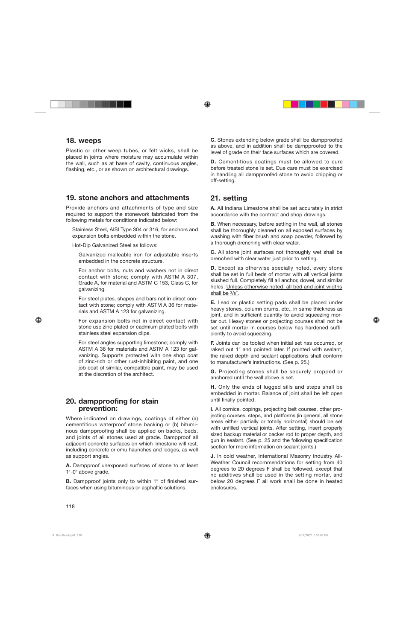#### **18. weeps**

Plastic or other weep tubes, or felt wicks, shall be placed in joints where moisture may accumulate within the wall, such as at base of cavity, continuous angles, flashing, etc., or as shown on architectural drawings.

#### **19. stone anchors and attachments**

Provide anchors and attachments of type and size required to support the stonework fabricated from the following metals for conditions indicated below:

Stainless Steel, AISI Type 304 or 316, for anchors and expansion bolts embedded within the stone.

Hot-Dip Galvanized Steel as follows:

Galvanized malleable iron for adjustable inserts embedded in the concrete structure.

For anchor bolts, nuts and washers not in direct contact with stone; comply with ASTM A 307, Grade A, for material and ASTM C 153, Class C, for galvanizing.

For steel plates, shapes and bars not in direct contact with stone; comply with ASTM A 36 for materials and ASTM A 123 for galvanizing.

For expansion bolts not in direct contact with stone use zinc plated or cadmium plated bolts with stainless steel expansion clips.

For steel angles supporting limestone; comply with ASTM A 36 for materials and ASTM A 123 for galvanizing. Supports protected with one shop coat of zinc-rich or other rust-inhibiting paint, and one job coat of similar, compatible paint, may be used at the discretion of the architect.

#### **20. dampproofing for stain prevention:**

Where indicated on drawings, coatings of either (a) cementitious waterproof stone backing or (b) bituminous dampproofing shall be applied on backs, beds, and joints of all stones used at grade. Dampproof all adjacent concrete surfaces on which limestone will rest, including concrete or cmu haunches and ledges, as well as support angles.

**A.** Dampproof unexposed surfaces of stone to at least 1'-0" above grade.

**B.** Dampproof joints only to within 1" of finished surfaces when using bituminous or asphaltic solutions.

**C.** Stones extending below grade shall be dampproofed as above, and in addition shall be dampproofed to the level of grade on their face surfaces which are covered.

**D.** Cementitious coatings must be allowed to cure before treated stone is set. Due care must be exercised in handling all dampproofed stone to avoid chipping or off-setting.

#### **21. setting**

**A.** All Indiana Limestone shall be set accurately in strict accordance with the contract and shop drawings.

**B.** When necessary, before setting in the wall, all stones shall be thoroughly cleaned on all exposed surfaces by washing with fiber brush and soap powder, followed by a thorough drenching with clear water.

**C.** All stone joint surfaces not thoroughly wet shall be drenched with clear water just prior to setting.

**D.** Except as otherwise specially noted, every stone shall be set in full beds of mortar with all vertical joints slushed full. Completely fill all anchor, dowel, and similar holes. Unless otherwise noted, all bed and joint widths shall be  $\frac{3}{8}$ .

**E.** Lead or plastic setting pads shall be placed under heavy stones, column drums, etc., in same thickness as joint, and in sufficient quantity to avoid squeezing mortar out. Heavy stones or projecting courses shall not be set until mortar in courses below has hardened sufficiently to avoid squeezing.

**F.** Joints can be tooled when initial set has occurred, or raked out 1" and pointed later. If pointed with sealant, the raked depth and sealant applications shall conform to manufacturer's instructions. (See p. 25.)

**G.** Projecting stones shall be securely propped or anchored until the wall above is set.

**H.** Only the ends of lugged sills and steps shall be embedded in mortar. Balance of joint shall be left open until finally pointed.

**I.** All cornice, copings, projecting belt courses, other projecting courses, steps, and platforms (in general, all stone areas either partially or totally horizontal) should be set with unfilled vertical joints. After setting, insert properly sized backup material or backer rod to proper depth, and gun in sealant. (See p. 25 and the following specification section for more information on sealant joints.)

**J.** In cold weather, International Masonry Industry All-Weather Council recommendations for setting from 40 degrees to 20 degrees F shall be followed, except that no additives shall be used in the setting mortar, and below 20 degrees F all work shall be done in heated enclosures.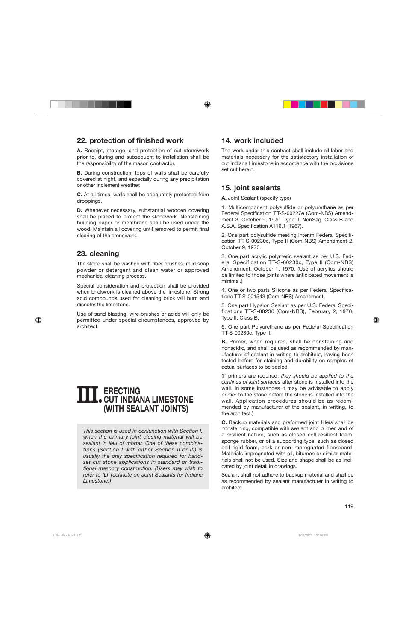### **22. protection of finished work**

**A.** Receipt, storage, and protection of cut stonework prior to, during and subsequent to installation shall be the responsibility of the mason contractor.

**B.** During construction, tops of walls shall be carefully covered at night, and especially during any precipitation or other inclement weather.

**C.** At all times, walls shall be adequately protected from droppings.

**D.** Whenever necessary, substantial wooden covering shall be placed to protect the stonework. Nonstaining building paper or membrane shall be used under the wood. Maintain all covering until removed to permit final clearing of the stonework.

# **23. cleaning**

The stone shall be washed with fiber brushes, mild soap powder or detergent and clean water or approved mechanical cleaning process.

Special consideration and protection shall be provided when brickwork is cleaned above the limestone. Strong acid compounds used for cleaning brick will burn and discolor the limestone.

Use of sand blasting, wire brushes or acids will only be permitted under special circumstances, approved by architect.

# **III.ERECTING CUT INDIANA LIMESTONE (WITH SEALANT JOINTS)**

*This section is used in conjunction with Section I, when the primary joint closing material will be sealant in lieu of mortar. One of these combinations (Section I with either Section II or III) is usually the only specification required for handset cut stone applications in standard or traditional masonry construction. (Users may wish to refer to ILI Technote on Joint Sealants for Indiana Limestone.)*

# **14. work included**

The work under this contract shall include all labor and materials necessary for the satisfactory installation of cut Indiana Limestone in accordance with the provisions set out herein.

# **15. joint sealants**

**A.** Joint Sealant (specify type)

1. Multicomponent polysulfide or polyurethane as per Federal Specification TT-S-00227e (Com-NBS) Amendment-3, October 9, 1970, Type II, NonSag, Class B and A.S.A. Specification A116.1 (1967).

2. One part polysulfide meeting Interim Federal Specification TT-S-00230c, Type II (Com-NBS) Amendment-2, October 9, 1970.

3. One part acrylic polymeric sealant as per U.S. Federal Specification TT-S-00230c, Type II (Com-NBS) Amendment, October 1, 1970. (Use of acrylics should be limited to those joints where anticipated movement is minimal.)

4. One or two parts Silicone as per Federal Specifications TT-S-001543 (Com-NBS) Amendment.

5. One part Hypalon Sealant as per U.S. Federal Specifications T T-S-00230 (Com-NBS), February 2, 1970, Type II, Class B.

6. One part Polyurethane as per Federal Specification TT-S-00230c, Type II.

**B.** Primer, when required, shall be nonstaining and nonacidic, and shall be used as recommended by manufacturer of sealant in writing to architect, having been tested before for staining and durability on samples of actual surfaces to be sealed.

(If primers are required, *they should be applied to the confines of joint surfaces* after stone is installed into the wall. In some instances it may be advisable to apply primer to the stone before the stone is installed into the wall. Application procedures should be as recommended by manufacturer of the sealant, in writing, to the architect.)

**C.** Backup materials and preformed joint fillers shall be nonstaining, compatible with sealant and primer, and of a resilient nature, such as closed cell resilient foam, sponge rubber, or of a supporting type, such as closed cell rigid foam, cork or non-impregnated fiberboard. Materials impregnated with oil, bitumen or similar materials shall not be used. Size and shape shall be as indicated by joint detail in drawings.

Sealant shall not adhere to backup material and shall be as recommended by sealant manufacturer in writing to architect.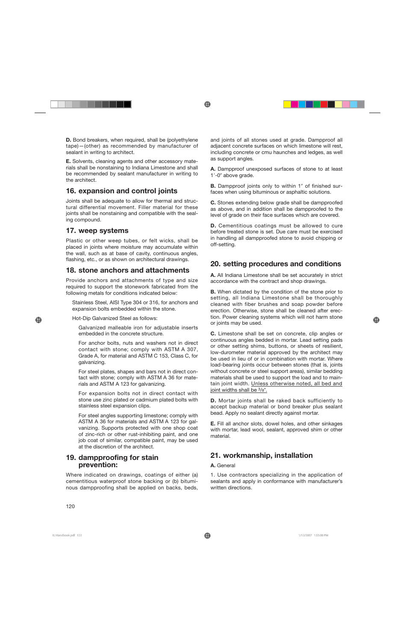**D.** Bond breakers, when required, shall be (polyethylene tape)—(other) as recommended by manufacturer of sealant in writing to architect.

**E.** Solvents, cleaning agents and other accessory materials shall be nonstaining to Indiana Limestone and shall be recommended by sealant manufacturer in writing to the architect.

### **16. expansion and control joints**

Joints shall be adequate to allow for thermal and structural differential movement. Filler material for these joints shall be nonstaining and compatible with the sealing compound.

#### **17. weep systems**

Plastic or other weep tubes, or felt wicks, shall be placed in joints where moisture may accumulate within the wall, such as at base of cavity, continuous angles, flashing, etc., or as shown on architectural drawings.

#### **18. stone anchors and attachments**

Provide anchors and attachments of type and size required to support the stonework fabricated from the following metals for conditions indicated below:

Stainless Steel, AISI Type 304 or 316, for anchors and expansion bolts embedded within the stone.

Hot-Dip Galvanized Steel as follows:

Galvanized malleable iron for adjustable inserts embedded in the concrete structure.

For anchor bolts, nuts and washers not in direct contact with stone; comply with ASTM A 307, Grade A, for material and ASTM C 153, Class C, for galvanizing.

For steel plates, shapes and bars not in direct contact with stone; comply with ASTM A 36 for materials and ASTM A 123 for galvanizing.

For expansion bolts not in direct contact with stone use zinc plated or cadmium plated bolts with stainless steel expansion clips.

For steel angles supporting limestone; comply with ASTM A 36 for materials and ASTM A 123 for galvanizing. Supports protected with one shop coat of zinc-rich or other rust-inhibiting paint, and one job coat of similar, compatible paint, may be used at the discretion of the architect.

#### **19. dampproofing for stain prevention:**

Where indicated on drawings, coatings of either (a) cementitious waterproof stone backing or (b) bituminous dampproofing shall be applied on backs, beds, and joints of all stones used at grade. Dampproof all adjacent concrete surfaces on which limestone will rest, including concrete or cmu haunches and ledges, as well as support angles.

**A.** Dampproof unexposed surfaces of stone to at least 1'-0" above grade.

**B.** Dampproof joints only to within 1" of finished surfaces when using bituminous or asphaltic solutions.

**C.** Stones extending below grade shall be dampproofed as above, and in addition shall be dampproofed to the level of grade on their face surfaces which are covered.

**D.** Cementitious coatings must be allowed to cure before treated stone is set. Due care must be exercised in handling all dampproofed stone to avoid chipping or off-setting.

#### **20. setting procedures and conditions**

**A.** All Indiana Limestone shall be set accurately in strict accordance with the contract and shop drawings.

**B.** When dictated by the condition of the stone prior to setting, all Indiana Limestone shall be thoroughly cleaned with fiber brushes and soap powder before erection. Otherwise, stone shall be cleaned after erection. Power cleaning systems which will not harm stone or joints may be used.

**C.** Limestone shall be set on concrete, clip angles or continuous angles bedded in mortar. Lead setting pads or other setting shims, buttons, or sheets of resilient, low-durometer material approved by the architect may be used in lieu of or in combination with mortar. Where load-bearing joints occur between stones (that is, joints without concrete or steel support areas), similar bedding materials shall be used to support the load and to maintain joint width. Unless otherwise noted, all bed and joint widths shall be  $\frac{3}{8}$ .

**D.** Mortar joints shall be raked back sufficiently to accept backup material or bond breaker plus sealant bead. Apply no sealant directly against mortar.

**E.** Fill all anchor slots, dowel holes, and other sinkages with mortar, lead wool, sealant, approved shim or other material.

#### **21. workmanship, installation**

#### **A.** General

1. Use contractors specializing in the application of sealants and apply in conformance with manufacturer's written directions.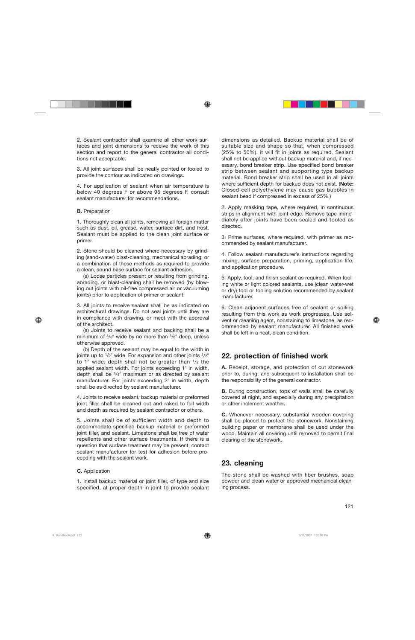2. Sealant contractor shall examine all other work surfaces and joint dimensions to receive the work of this section and report to the general contractor all conditions not acceptable.

3. All joint surfaces shall be neatly pointed or tooled to provide the contour as indicated on drawings.

4. For application of sealant when air temperature is below 40 degrees F or above 95 degrees F, consult sealant manufacturer for recommendations.

#### **B.** Preparation

1. Thoroughly clean all joints, removing all foreign matter such as dust, oil, grease, water, surface dirt, and frost. Sealant must be applied to the clean joint surface or primer.

2. Stone should be cleaned where necessary by grinding (sand-water) blast-cleaning, mechanical abrading, or a combination of these methods as required to provide a clean, sound base surface for sealant adhesion.

(a) Loose particles present or resulting from grinding, abrading, or blast-cleaning shall be removed (by blowing out joints with oil-free compressed air or vacuuming joints) prior to application of primer or sealant.

3. All joints to receive sealant shall be as indicated on architectural drawings. Do not seal joints until they are in compliance with drawing, or meet with the approval of the architect.

(a) Joints to receive sealant and backing shall be a minimum of  $3/s''$  wide by no more than  $3/s''$  deep, unless otherwise approved.

(b) Depth of the sealant may be equal to the width in joints up to 1/2" wide. For expansion and other joints 1/2"  $\,$ to 1″ wide, depth shall not be greater than 1/2 the applied sealant width. For joints exceeding 1" in width, depth shall be  $3/4$ " maximum or as directed by sealant manufacturer. For joints exceeding 2" in width, depth shall be as directed by sealant manufacturer.

4. Joints to receive sealant, backup material or preformed joint filler shall be cleaned out and raked to full width and depth as required by sealant contractor or others.

5. Joints shall be of sufficient width and depth to accommodate specified backup material or preformed joint filler, and sealant. Limestone shall be free of water repellents and other surface treatments. If there is a question that surface treatment may be present, contact sealant manufacturer for test for adhesion before proceeding with the sealant work.

#### **C.** Application

1. Install backup material or joint filler, of type and size specified, at proper depth in joint to provide sealant dimensions as detailed. Backup material shall be of suitable size and shape so that, when compressed (25% to 50%), it will fit in joints as required. Sealant shall not be applied without backup material and, if necessary, bond breaker strip. Use specified bond breaker strip between sealant and supporting type backup material. Bond breaker strip shall be used in all joints where sufficient depth for backup does not exist. (**Note:** Closed-cell polyethylene may cause gas bubbles in sealant bead if compressed in excess of 25%.)

2. Apply masking tape, where required, in continuous strips in alignment with joint edge. Remove tape immediately after joints have been sealed and tooled as directed.

3. Prime surfaces, where required, with primer as recommended by sealant manufacturer.

4. Follow sealant manufacturer's instructions regarding mixing, surface preparation, priming, application life, and application procedure.

5. Apply, tool, and finish sealant as required. When tooling white or light colored sealants, use (clean water-wet or dry) tool or tooling solution recommended by sealant manufacturer.

6. Clean adjacent surfaces free of sealant or soiling resulting from this work as work progresses. Use solvent or cleaning agent, nonstaining to limestone, as recommended by sealant manufacturer. All finished work shall be left in a neat, clean condition.

#### **22. protection of finished work**

**A.** Receipt, storage, and protection of cut stonework prior to, during, and subsequent to installation shall be the responsibility of the general contractor.

**B.** During construction, tops of walls shall be carefully covered at night, and especially during any precipitation or other inclement weather.

**C.** Whenever necessary, substantial wooden covering shall be placed to protect the stonework. Nonstaining building paper or membrane shall be used under the wood. Maintain all covering until removed to permit final clearing of the stonework.

### **23. cleaning**

The stone shall be washed with fiber brushes, soap powder and clean water or approved mechanical cleaning process.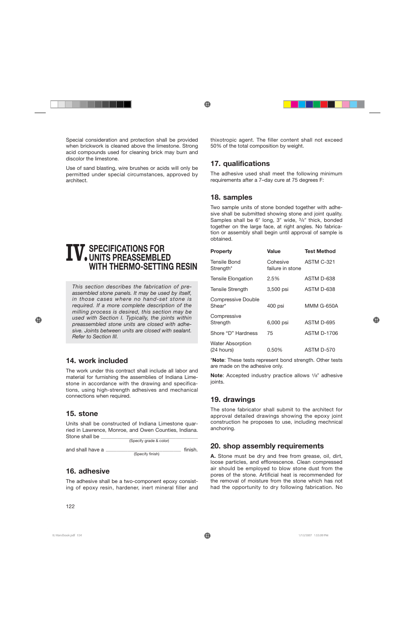Special consideration and protection shall be provided when brickwork is cleaned above the limestone. Strong acid compounds used for cleaning brick may burn and discolor the limestone.

Use of sand blasting, wire brushes or acids will only be permitted under special circumstances, approved by architect.

# **IV.SPECIFICATIONS FOR UNITS PREASSEMBLED WITH THERMO-SETTING RESIN**

*This section describes the fabrication of preassembled stone panels. It may be used by itself, in those cases where no hand-set stone is required. If a more complete description of the milling process is desired, this section may be used with Section I. Typically, the joints within preassembled stone units are closed with adhesive. Joints between units are closed with sealant. Refer to Section III.*

### **14. work included**

The work under this contract shall include all labor and material for furnishing the assemblies of Indiana Limestone in accordance with the drawing and specifications, using high-strength adhesives and mechanical connections when required.

#### **15. stone**

Units shall be constructed of Indiana Limestone quarried in Lawrence, Monroe, and Owen Counties, Indiana. Stone shall be

|                  | (Specify grade & color) |         |
|------------------|-------------------------|---------|
| and shall have a |                         | finish. |
|                  | (Specify finish)        |         |

### **16. adhesive**

The adhesive shall be a two-component epoxy consisting of epoxy resin, hardener, inert mineral filler and thixotropic agent. The filler content shall not exceed 50% of the total composition by weight.

### **17. qualifications**

The adhesive used shall meet the following minimum requirements after a 7–day cure at 75 degrees F:

#### **18. samples**

Two sample units of stone bonded together with adhesive shall be submitted showing stone and joint quality. Samples shall be 6" long, 3" wide, 3/4" thick, bonded together on the large face, at right angles. No fabrication or assembly shall begin until approval of sample is obtained.

| <b>Property</b>                         | <b>Value</b>                 | <b>Test Method</b> |
|-----------------------------------------|------------------------------|--------------------|
| Tensile Bond<br>Strength*               | Cohesive<br>failure in stone | ASTM C-321         |
| <b>Tensile Elongation</b>               | 2.5%                         | ASTM D-638         |
| <b>Tensile Strength</b>                 | 3,500 psi                    | ASTM D-638         |
| <b>Compressive Double</b><br>Shear*     | $400$ psi                    | <b>MMM G-650A</b>  |
| Compressive<br>Strength                 | 6,000 psi                    | ASTM D-695         |
| Shore "D" Hardness                      | 75                           | <b>ASTM D-1706</b> |
| <b>Water Absorption</b><br>$(24$ hours) | 0.50%                        | ASTM D-570         |

\***Note**: These tests represent bond strength. Other tests are made on the adhesive only.

**Note**: Accepted industry practice allows 1/8" adhesive joints.

#### **19. drawings**

The stone fabricator shall submit to the architect for approval detailed drawings showing the epoxy joint construction he proposes to use, including mechnical anchoring.

#### **20. shop assembly requirements**

**A.** Stone must be dry and free from grease, oil, dirt, loose particles, and efflorescence. Clean compressed air should be employed to blow stone dust from the pores of the stone. Artificial heat is recommended for the removal of moisture from the stone which has not had the opportunity to dry following fabrication. No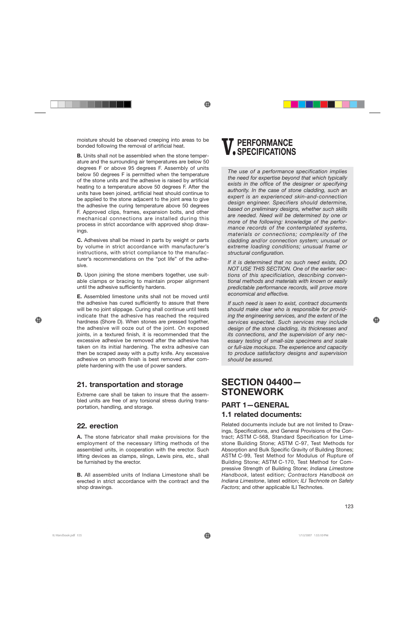moisture should be observed creeping into areas to be bonded following the removal of artificial heat.

**B.** Units shall not be assembled when the stone temperature and the surrounding air temperatures are below 50 degrees F or above 95 degrees F. Assembly of units below 50 degrees F is permitted when the temperature of the stone units and the adhesive is raised by artificial heating to a temperature above 50 degrees F. After the units have been joined, artificial heat should continue to be applied to the stone adjacent to the joint area to give the adhesive the curing temperature above 50 degrees F. Approved clips, frames, expansion bolts, and other mechanical connections are installed during this process in strict accordance with approved shop drawings.

**C.** Adhesives shall be mixed in parts by weight or parts by volume in strict accordance with manufacturer's instructions, with strict compliance to the manufacturer's recommendations on the "pot life" of the adhesive.

**D.** Upon joining the stone members together, use suitable clamps or bracing to maintain proper alignment until the adhesive sufficiently hardens.

**E.** Assembled limestone units shall not be moved until the adhesive has cured sufficiently to assure that there will be no joint slippage. Curing shall continue until tests indicate that the adhesive has reached the required hardness (Shore D). When stones are pressed together, the adhesive will ooze out of the joint. On exposed joints, in a textured finish, it is recommended that the excessive adhesive be removed after the adhesive has taken on its initial hardening. The extra adhesive can then be scraped away with a putty knife. Any excessive adhesive on smooth finish is best removed after complete hardening with the use of power sanders.

#### **21. transportation and storage**

Extreme care shall be taken to insure that the assembled units are free of any torsional stress during transportation, handling, and storage.

#### **22. erection**

**A.** The stone fabricator shall make provisions for the employment of the necessary lifting methods of the assembled units, in cooperation with the erector. Such lifting devices as clamps, slings, Lewis pins, etc., shall be furnished by the erector.

**B.** All assembled units of Indiana Limestone shall be erected in strict accordance with the contract and the shop drawings.

# **V.PERFORMANCE SPECIFICATIONS**

*The use of a performance specification implies the need for expertise beyond that which typically exists in the office of the designer or specifying authority. In the case of stone cladding, such an expert is an experienced skin-and-connection design engineer. Specifiers should determine, based on preliminary designs, whether such skills are needed. Need will be determined by one or more of the following: knowledge of the performance records of the contemplated systems, materials or connections; complexity of the cladding and/or connection system; unusual or extreme loading conditions; unusual frame or structural configuration.*

*If it is determined that no such need exists, DO NOT USE THIS SECTION. One of the earlier sections of this specificiation, describing conventional methods and materials with known or easily predictable performance records, will prove more economical and effective.*

*If such need is seen to exist, contract documents should make clear who is responsible for providing the engineering services, and the extent of the services expected. Such services may include design of the stone cladding, its thicknesses and its connections, and the supervision of any necessary testing of small-size specimens and scale or full-size mockups. The experience and capacity to produce satisfactory designs and supervision should be assured.*

# **SECTION 04400— STONEWORK PART 1—GENERAL 1.1 related documents:**

Related documents include but are not limited to Drawings, Specifications, and General Provisions of the Contract; ASTM C-568, Standard Specification for Limestone Building Stone; ASTM C-97, Test Methods for Absorption and Bulk Specific Gravity of Building Stones; ASTM C-99, Test Method for Modulus of Rupture of Building Stone; ASTM C-170, Test Method for Compressive Strength of Building Stone; *Indiana Limestone Handbook*, latest edition; *Contractors Handbook on Indiana Limestone*, latest edition; *ILI Technote on Safety Factors*; and other applicable ILI Technotes.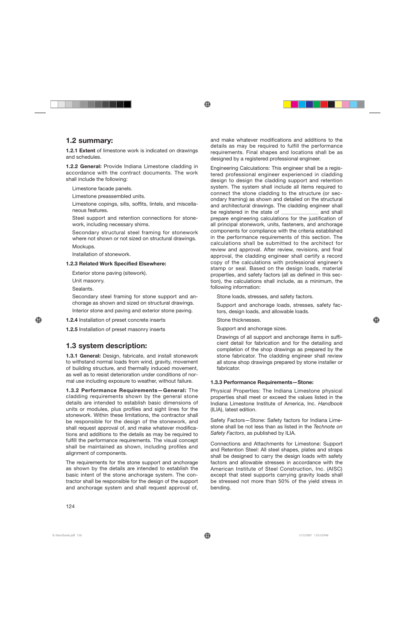#### **1.2 summary:**

**1.2.1 Extent** of limestone work is indicated on drawings and schedules.

**1.2.2 General:** Provide Indiana Limestone cladding in accordance with the contract documents. The work shall include the following:

Limestone facade panels.

Limestone preassembled units.

Limestone copings, sills, soffits, lintels, and miscellaneous features.

Steel support and retention connections for stonework, including necessary shims.

Secondary structural steel framing for stonework where not shown or not sized on structural drawings. Mockups.

Installation of stonework.

#### **1.2.3 Related Work Specified Elsewhere:**

Exterior stone paving (sitework).

Unit masonry.

Sealants.

Secondary steel framing for stone support and anchorage as shown and sized on structural drawings.

Interior stone and paving and exterior stone paving.

**1.2.4** Installation of preset concrete inserts

**1.2.5** Installation of preset masonry inserts

#### **1.3 system description:**

**1.3.1 General:** Design, fabricate, and install stonework to withstand normal loads from wind, gravity, movement of building structure, and thermally induced movement, as well as to resist deterioration under conditions of normal use including exposure to weather, without failure.

**1.3.2 Performance Requirements—General:** The cladding requirements shown by the general stone details are intended to establish basic dimensions of units or modules, plus profiles and sight lines for the stonework. Within these limitations, the contractor shall be responsible for the design of the stonework, and shall request approval of, and make whatever modifications and additions to the details as may be required to fulfill the performance requirements. The visual concept shall be maintained as shown, including profiles and alignment of components.

The requirements for the stone support and anchorage as shown by the details are intended to establish the basic intent of the stone anchorage system. The contractor shall be responsible for the design of the support and anchorage system and shall request approval of, and make whatever modifications and additions to the details as may be required to fulfill the performance requirements. Final shapes and locations shall be as designed by a registered professional engineer.

Engineering Calculations: This engineer shall be a registered professional engineer experienced in cladding design to design the cladding support and retention system. The system shall include all items required to connect the stone cladding to the structure (or secondary framing) as shown and detailed on the structural and architectural drawings. The cladding engineer shall be registered in the state of \_\_\_\_\_\_\_\_\_\_\_\_\_\_\_\_\_\_\_\_ and shall prepare engineering calculations for the justification of all principal stonework, units, fasteners, and anchorage components for compliance with the criteria established in the performance requirements of this section. The calculations shall be submitted to the architect for review and approval. After review, revisions, and final approval, the cladding engineer shall certify a record copy of the calculations with professional engineer's stamp or seal. Based on the design loads, material properties, and safety factors (all as defined in this section), the calculations shall include, as a minimum, the following information:

Stone loads, stresses, and safety factors.

Support and anchorage loads, stresses, safety factors, design loads, and allowable loads.

Stone thicknesses.

Support and anchorage sizes.

Drawings of all support and anchorage items in sufficient detail for fabrication and for the detailing and completion of the shop drawings as prepared by the stone fabricator. The cladding engineer shall review all stone shop drawings prepared by stone installer or fabricator.

#### **1.3.3 Performance Requirements—Stone:**

Physical Properties: The Indiana Limestone physical properties shall meet or exceed the values listed in the Indiana Limestone Institute of America, Inc. *Handbook* (ILIA), latest edition.

Safety Factors—Stone: Safety factors for Indiana Limestone shall be not less than as listed in the *Technote on Safety Factors*, as published by ILIA.

Connections and Attachments for Limestone: Support and Retention Steel: All steel shapes, plates and straps shall be designed to carry the design loads with safety factors and allowable stresses in accordance with the American Institute of Steel Construction, Inc. (AISC) except that steel supports carrying gravity loads shall be stressed not more than 50% of the yield stress in bending.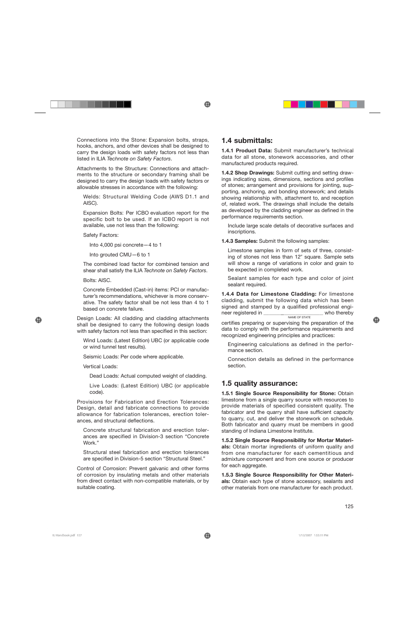Connections into the Stone: Expansion bolts, straps, hooks, anchors, and other devices shall be designed to carry the design loads with safety factors not less than listed in ILIA *Technote on Safety Factors*.

Attachments to the Structure: Connections and attachments to the structure or secondary framing shall be designed to carry the design loads with safety factors or allowable stresses in accordance with the following:

Welds: Structural Welding Code (AWS D1.1 and AISC).

Expansion Bolts: Per ICBO evaluation report for the specific bolt to be used. If an ICBO report is not available, use not less than the following:

Safety Factors:

Into 4,000 psi concrete—4 to 1

Into grouted CMU—6 to 1

The combined load factor for combined tension and shear shall satisfy the ILIA *Technote on Safety Factors*.

Bolts: AISC.

Concrete Embedded (Cast-in) items: PCI or manufacturer's recommendations, whichever is more conservative. The safety factor shall be not less than 4 to 1 based on concrete failure.

Design Loads: All cladding and cladding attachments shall be designed to carry the following design loads with safety factors not less than specified in this section:

Wind Loads: (Latest Edition) UBC (or applicable code or wind tunnel test results).

Seismic Loads: Per code where applicable.

Vertical Loads:

Dead Loads: Actual computed weight of cladding.

Live Loads: (Latest Edition) UBC (or applicable code).

Provisions for Fabrication and Erection Tolerances: Design, detail and fabricate connections to provide allowance for fabrication tolerances, erection tolerances, and structural deflections.

Concrete structural fabrication and erection tolerances are specified in Division-3 section "Concrete Work."

Structural steel fabrication and erection tolerances are specified in Division-5 section "Structural Steel."

Control of Corrosion: Prevent galvanic and other forms of corrosion by insulating metals and other materials from direct contact with non-compatible materials, or by suitable coating.

#### **1.4 submittals:**

**1.4.1 Product Data:** Submit manufacturer's technical data for all stone, stonework accessories, and other manufactured products required.

**1.4.2 Shop Drawings:** Submit cutting and setting drawings indicating sizes, dimensions, sections and profiles of stones; arrangement and provisions for jointing, supporting, anchoring, and bonding stonework; and details showing relationship with, attachment to, and reception of, related work. The drawings shall include the details as developed by the cladding engineer as defined in the performance requirements section.

Include large scale details of decorative surfaces and inscriptions.

**1.4.3 Samples:** Submit the following samples:

Limestone samples in form of sets of three, consisting of stones not less than 12" square. Sample sets will show a range of variations in color and grain to be expected in completed work.

Sealant samples for each type and color of joint sealant required.

**1.4.4 Data for Limestone Cladding:** For limestone cladding, submit the following data which has been signed and stamped by a qualified professional engineer registered in \_\_\_\_\_\_\_\_\_\_\_\_\_\_\_\_\_\_\_\_\_\_\_\_\_\_\_\_\_\_\_\_\_\_ who thereby NAME OF STATE

certifies preparing or supervising the preparation of the data to comply with the performance requirements and recognized engineering principles and practices:

Engineering calculations as defined in the performance section.

Connection details as defined in the performance section.

#### **1.5 quality assurance:**

**1.5.1 Single Source Responsibility for Stone:** Obtain limestone from a single quarry source with resources to provide materials of specified consistent quality. The fabricator and the quarry shall have sufficient capacity to quarry, cut, and deliver the stonework on schedule. Both fabricator and quarry must be members in good standing of Indiana Limestone Institute.

**1.5.2 Single Source Responsibility for Mortar Materials:** Obtain mortar ingredients of uniform quality and from one manufacturer for each cementitious and admixture component and from one source or producer for each aggregate.

**1.5.3 Single Source Responsibility for Other Materials:** Obtain each type of stone accessory, sealants and other materials from one manufacturer for each product.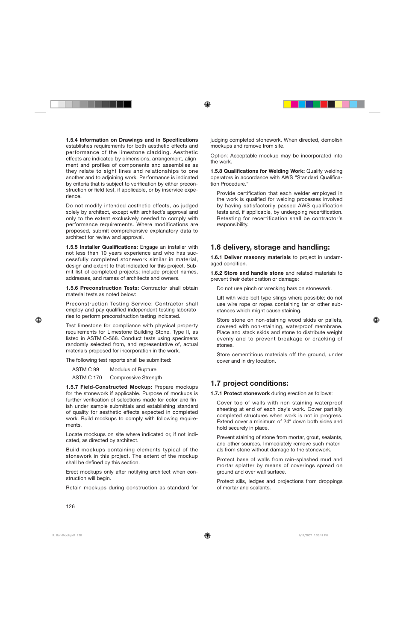**1.5.4 Information on Drawings and in Specifications** establishes requirements for both aesthetic effects and performance of the limestone cladding. Aesthetic effects are indicated by dimensions, arrangement, alignment and profiles of components and assemblies as they relate to sight lines and relationships to one another and to adjoining work. Performance is indicated by criteria that is subject to verification by either preconstruction or field test, if applicable, or by inservice experience.

Do not modify intended aesthetic effects, as judged solely by architect, except with architect's approval and only to the extent exclusively needed to comply with performance requirements. Where modifications are proposed, submit comprehensive explanatory data to architect for review and approval.

**1.5.5 Installer Qualifications:** Engage an installer with not less than 10 years experience and who has successfully completed stonework similar in material, design and extent to that indicated for this project. Submit list of completed projects; include project names, addresses, and names of architects and owners.

**1.5.6 Preconstruction Tests:** Contractor shall obtain material tests as noted below:

Preconstruction Testing Service: Contractor shall employ and pay qualified independent testing laboratories to perform preconstruction testing indicated.

Test limestone for compliance with physical property requirements for Limestone Building Stone, Type II, as listed in ASTM C-568. Conduct tests using specimens randomly selected from, and representative of, actual materials proposed for incorporation in the work.

The following test reports shall be submitted:

ASTM C 99 Modulus of Rupture ASTM C 170 Compressive Strength

**1.5.7 Field-Constructed Mockup:** Prepare mockups for the stonework if applicable. Purpose of mockups is further verification of selections made for color and finish under sample submittals and establishing standard of quality for aesthetic effects expected in completed work. Build mockups to comply with following requirements.

Locate mockups on site where indicated or, if not indicated, as directed by architect.

Build mockups containing elements typical of the stonework in this project. The extent of the mockup shall be defined by this section.

Erect mockups only after notifying architect when construction will begin.

Retain mockups during construction as standard for

judging completed stonework. When directed, demolish mockups and remove from site.

Option: Acceptable mockup may be incorporated into the work.

**1.5.8 Qualifications for Welding Work: Qualify welding** operators in accordance with AWS "Standard Qualification Procedure."

Provide certification that each welder employed in the work is qualified for welding processes involved by having satisfactorily passed AWS qualification tests and, if applicable, by undergoing recertification. Retesting for recertification shall be contractor's responsibility.

## **1.6 delivery, storage and handling:**

**1.6.1 Deliver masonry materials** to project in undamaged condition.

**1.6.2 Store and handle stone** and related materials to prevent their deterioration or damage:

Do not use pinch or wrecking bars on stonework.

Lift with wide-belt type slings where possible; do not use wire rope or ropes containing tar or other substances which might cause staining.

Store stone on non-staining wood skids or pallets, covered with non-staining, waterproof membrane. Place and stack skids and stone to distribute weight evenly and to prevent breakage or cracking of stones.

Store cementitious materials off the ground, under cover and in dry location.

### **1.7 project conditions:**

**1.7.1 Protect stonework** during erection as follows:

Cover top of walls with non-staining waterproof sheeting at end of each day's work. Cover partially completed structures when work is not in progress. Extend cover a minimum of 24" down both sides and hold securely in place.

Prevent staining of stone from mortar, grout, sealants, and other sources. Immediately remove such materials from stone without damage to the stonework.

Protect base of walls from rain-splashed mud and mortar splatter by means of coverings spread on ground and over wall surface.

Protect sills, ledges and projections from droppings of mortar and sealants.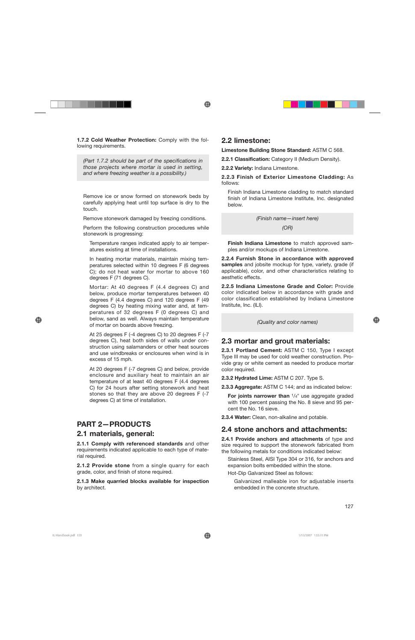**1.7.2 Cold Weather Protection:** Comply with the following requirements.

*(Part 1.7.2 should be part of the specifications in those projects where mortar is used in setting, and where freezing weather is a possibility.)*

Remove ice or snow formed on stonework beds by carefully applying heat until top surface is dry to the touch.

Remove stonework damaged by freezing conditions.

Perform the following construction procedures while stonework is progressing:

Temperature ranges indicated apply to air temperatures existing at time of installations.

In heating mortar materials, maintain mixing temperatures selected within 10 degrees F (6 degrees C); do not heat water for mortar to above 160 degrees F (71 degrees C).

Mortar: At 40 degrees F (4.4 degrees C) and below, produce mortar temperatures between 40 degrees F (4.4 degrees C) and 120 degrees F (49 degrees C) by heating mixing water and, at temperatures of 32 degrees F (0 degrees C) and below, sand as well. Always maintain temperature of mortar on boards above freezing.

At 25 degrees F (-4 degrees C) to 20 degrees F (-7 degrees C), heat both sides of walls under construction using salamanders or other heat sources and use windbreaks or enclosures when wind is in excess of 15 mph.

At 20 degrees F (-7 degrees C) and below, provide enclosure and auxiliary heat to maintain an air temperature of at least 40 degrees F (4.4 degrees C) for 24 hours after setting stonework and heat stones so that they are above 20 degrees F (-7 degrees C) at time of installation.

# **PART 2—PRODUCTS**

#### **2.1 materials, general:**

**2.1.1 Comply with referenced standards** and other requirements indicated applicable to each type of material required.

**2.1.2 Provide stone** from a single quarry for each grade, color, and finish of stone required.

**2.1.3 Make quarried blocks available for inspection** by architect.

#### **2.2 limestone:**

#### **Limestone Building Stone Standard:** ASTM C 568.

**2.2.1 Classification:** Category II (Medium Density).

**2.2.2 Variety:** Indiana Limestone.

#### **2.2.3 Finish of Exterior Limestone Cladding:** As follows:

Finish Indiana Limestone cladding to match standard finish of Indiana Limestone Institute, Inc. designated below.

*(Finish name—insert here)*

*(OR)*

**Finish Indiana Limestone** to match approved samples and/or mockups of Indiana Limestone.

**2.2.4 Furnish Stone in accordance with approved samples** and jobsite mockup for type, variety, grade (if applicable), color, and other characteristics relating to aesthetic effects.

**2.2.5 Indiana Limestone Grade and Color:** Provide color indicated below in accordance with grade and color classification established by Indiana Limestone Institute, Inc. (ILI).

*(Quality and color names)*

#### **2.3 mortar and grout materials:**

**2.3.1 Portland Cement:** ASTM C 150, Type I except Type III may be used for cold weather construction. Provide gray or white cement as needed to produce mortar color required.

**2.3.2 Hydrated Lime:** ASTM C 207. Type S.

**2.3.3 Aggregate:** ASTM C 144; and as indicated below:

For joints narrower than <sup>1</sup>/4" use aggregate graded with 100 percent passing the No. 8 sieve and 95 percent the No. 16 sieve.

**2.3.4 Water:** Clean, non-alkaline and potable.

#### **2.4 stone anchors and attachments:**

**2.4.1 Provide anchors and attachments** of type and size required to support the stonework fabricated from the following metals for conditions indicated below:

Stainless Steel, AISI Type 304 or 316, for anchors and expansion bolts embedded within the stone.

Hot-Dip Galvanized Steel as follows:

Galvanized malleable iron for adjustable inserts embedded in the concrete structure.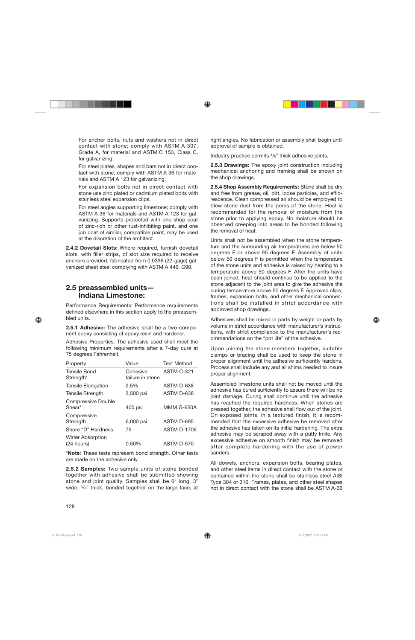For anchor bolts, nuts and washers not in direct contact with stone; comply with ASTM A 307, Grade A, for material and ASTM C 153, Class C, for galvanizing.

For steel plates, shapes and bars not in direct contact with stone; comply with ASTM A 36 for materials and ASTM A 123 for galvanizing.

For expansion bolts not in direct contact with stone use zinc plated or cadmium plated bolts with stainless steel expansion clips.

For steel angles supporting limestone; comply with ASTM A 36 for materials and ASTM A 123 for galvanizing. Supports protected with one shop coat of zinc-rich or other rust-inhibiting paint, and one job coat of similar, compatible paint, may be used at the discretion of the architect.

**2.4.2 Dovetail Slots:** Where required, furnish dovetail slots, with filler strips, of slot size required to receive anchors provided, fabricated from 0.0336 (22-gage) galvanized sheet steel complying with ASTM A 446, G90.

#### **2.5 preassembled units— Indiana Limestone:**

Performance Requirements: Performance requirements defined elsewhere in this section apply to the preassembled units.

**2.5.1 Adhesive:** The adhesive shall be a two-component epoxy consisting of epoxy resin and hardener.

Adhesive Properties: The adhesive used shall meet the following minimum requirements after a 7-day cure at 75 degrees Fahrenheit.

| Property                              | Value                        | <b>Test Method</b> |
|---------------------------------------|------------------------------|--------------------|
| <b>Tensile Bond</b><br>Strength*      | Cohesive<br>failure in stone | ASTM C-321         |
| <b>Tensile Elongation</b>             | 2.5%                         | ASTM D-638         |
| <b>Tensile Strength</b>               | 3,500 psi                    | ASTM D-638         |
| <b>Compressive Double</b><br>Shear*   | 400 psi                      | <b>MMM G-650A</b>  |
| Compressive<br>Strength               | 6,000 psi                    | ASTM D-695         |
| Shore "D" Hardness                    | 75                           | <b>ASTM D-1706</b> |
| <b>Water Absorption</b><br>(24 hours) | 0.50%                        | ASTM D-570         |

\***Note**: These tests represent bond strength. Other tests are made on the adhesive only.

**2.5.2 Samples:** Two sample units of stone bonded together with adhesive shall be submitted showing stone and joint quality. Samples shall be 6" long, 3" wide,  $3/4$ " thick, bonded together on the large face, at

right angles. No fabrication or assembly shall begin until approval of sample is obtained.

Industry practice permits <sup>1</sup>/8" thick adhesive joints.

**2.5.3 Drawings:** The epoxy joint construction including mechanical anchoring and framing shall be shown on the shop drawings.

**2.5.4 Shop Assembly Requirements:** Stone shall be dry and free from grease, oil, dirt, loose particles, and efflorescence. Clean compressed air should be employed to blow stone dust from the pores of the stone. Heat is recommended for the removal of moisture from the stone prior to applying epoxy. No moisture should be observed creeping into areas to be bonded following the removal of heat.

Units shall not be assembled when the stone temperature and the surrounding air temperatures are below 50 degrees F or above 95 degrees F. Assembly of units below 50 degrees F is permitted when the temperature of the stone units and adhesive is raised by heating to a temperature above 50 degrees F. After the units have been joined, heat should continue to be applied to the stone adjacent to the joint area to give the adhesive the curing temperature above 50 degrees F. Approved clips, frames, expansion bolts, and other mechanical connections shall be installed in strict accordance with approved shop drawings.

Adhesives shall be mixed in parts by weight or parts by volume in strict accordance with manufacturer's instructions, with strict compliance to the manufacturer's recommendations on the "pot life" of the adhesive.

Upon joining the stone members together, suitable clamps or bracing shall be used to keep the stone in proper alignment until the adhesive sufficiently hardens. Process shall include any and all shims needed to insure proper alignment.

Assembled limestone units shall not be moved until the adhesive has cured sufficiently to assure there will be no joint damage. Curing shall continue until the adhesive has reached the required hardness. When stones are pressed together, the adhesive shall flow out of the joint. On exposed joints, in a textured finish, it is recommended that the excessive adhesive be removed after the adhesive has taken on its initial hardening. The extra adhesive may be scraped away with a putty knife. Any excessive adhesive on smooth finish may be removed after complete hardening with the use of power sanders.

All dowels, anchors, expansion bolts, bearing plates, and other steel items in direct contact with the stone or contained within the stone shall be stainless steel AISI Type 304 or 316. Frames, plates, and other steel shapes not in direct contact with the stone shall be ASTM A-36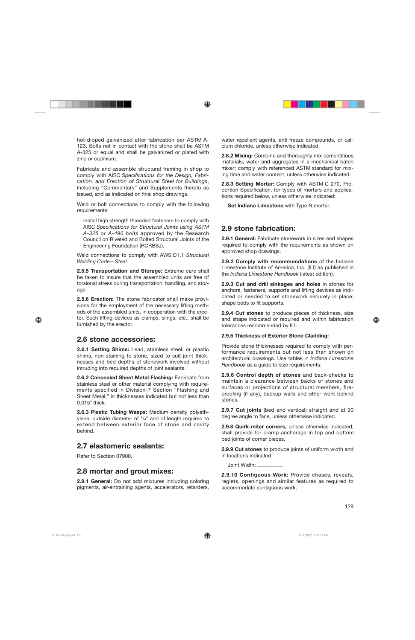hot-dipped galvanized after fabrication per ASTM A-123. Bolts not in contact with the stone shall be ASTM A-325 or equal and shall be galvanized or plated with zinc or cadmium.

Fabricate and assemble structural framing in shop to comply with AISC *Specifications for the Design, Fabrication, and Erection of Structural Steel for Buildings*, including "Commentary" and Supplements thereto as issued, and as indicated on final shop drawings.

Weld or bolt connections to comply with the following requirements:

Install high strength threaded fasteners to comply with AISC *Specifications for Structural Joints using ASTM A-325 or A-490 bolts* approved by the Research Council on Riveted and Bolted Structural Joints of the Engineering Foundation (RCRBSJ).

Weld connections to comply with AWS D1.1 *Structural Welding Code—Steel*.

**2.5.5 Transportation and Storage:** Extreme care shall be taken to insure that the assembled units are free of torsional stress during transportation, handling, and storage.

**2.5.6 Erection:** The stone fabricator shall make provisions for the employment of the necessary lifting methods of the assembled units, in cooperation with the erector. Such lifting devices as clamps, slings, etc., shall be furnished by the erector.

#### **2.6 stone accessories:**

**2.6.1 Setting Shims:** Lead, stainless steel, or plastic shims, non-staining to stone, sized to suit joint thicknesses and bed depths of stonework involved without intruding into required depths of joint sealants.

**2.6.2 Concealed Sheet Metal Flashing:** Fabricate from stainless steel or other material complying with requirements specified in Division-7 Section "Flashing and Sheet Metal," in thicknesses indicated but not less than 0.015" thick.

**2.6.3 Plastic Tubing Weeps:** Medium density polyethylene, outside diameter of 1/4" and of length required to extend between exterior face of stone and cavity behind.

#### **2.7 elastomeric sealants:**

Refer to Section 07900.

#### **2.8 mortar and grout mixes:**

**2.8.1 General:** Do not add mixtures including coloring pigments, air-entraining agents, accelerators, retarders, water repellent agents, anti-freeze compounds, or calcium chloride, unless otherwise indicated.

**2.8.2 Mixing:** Combine and thoroughly mix cementitious materials, water and aggregates in a mechanical batch mixer; comply with referenced ASTM standard for mixing time and water content, unless otherwise indicated.

**2.8.3 Setting Mortar:** Comply with ASTM C 270, Proportion Specification, for types of mortars and applications required below, unless otherwise indicated:

**Set Indiana Limestone** with Type N mortar.

#### **2.9 stone fabrication:**

**2.9.1 General:** Fabricate stonework in sizes and shapes required to comply with the requirements as shown on approved shop drawings.

**2.9.2 Comply with recommendations** of the Indiana Limestone Institute of America, Inc. (ILI) as published in the *Indiana Limestone Handbook* (latest edition).

**2.9.3 Cut and drill sinkages and holes** in stones for anchors, fasteners, supports and lifting devices as indicated or needed to set stonework securely in place; shape beds to fit supports.

**2.9.4 Cut stones** to produce pieces of thickness, size and shape indicated or required and within fabrication tolerances recommended by ILI.

#### **2.9.5 Thickness of Exterior Stone Cladding:**

Provide stone thicknesses required to comply with performance requirements but not less than shown on architectural drawings. Use tables in *Indiana Limestone Handbook* as a guide to size requirements.

**2.9.6 Control depth of stones** and back-checks to maintain a clearance between backs of stones and surfaces or projections of structural members, fireproofing (if any), backup walls and other work behind stones.

**2.9.7 Cut joints** (bed and vertical) straight and at 90 degree angle to face, unless otherwise indicated.

**2.9.8 Quirk-miter corners,** unless otherwise indicated; shall provide for cramp anchorage in top and bottom bed joints of corner pieces.

**2.9.9 Cut stones** to produce joints of uniform width and in locations indicated.

Joint Width: \_\_\_\_\_\_\_\_\_\_\_\_\_\_

**2.9.10 Contiguous Work:** Provide chases, reveals, reglets, openings and similar features as required to accommodate contiguous work.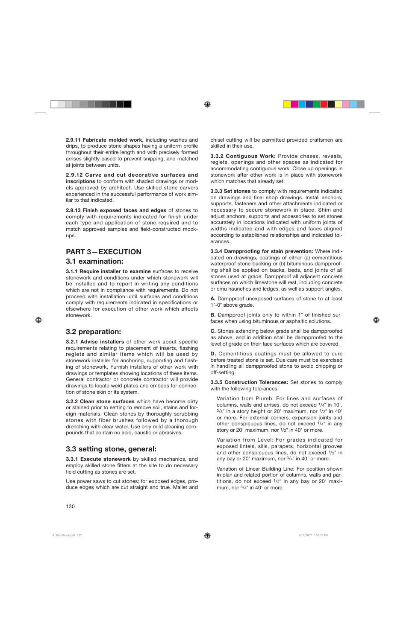**2.9.11 Fabricate molded work,** including washes and drips, to produce stone shapes having a uniform profile throughout their entire length and with precisely formed arrises slightly eased to prevent snipping, and matched at joints between units.

**2.9.12 Carve and cut decorative surfaces and inscriptions** to conform with shaded drawings or models approved by architect. Use skilled stone carvers experienced in the successful performance of work similar to that indicated.

**2.9.13 Finish exposed faces and edges** of stones to comply with requirements indicated for finish under each type and application of stone required and to match approved samples and field-constructed mockups.

#### **PART 3—EXECUTION**

#### **3.1 examination:**

**3.1.1 Require installer to examine** surfaces to receive stonework and conditions under which stonework will be installed and to report in writing any conditions which are not in compliance with requirements. Do not proceed with installation until surfaces and conditions comply with requirements indicated in specifications or elsewhere for execution of other work which affects stonework.

#### **3.2 preparation:**

**3.2.1 Advise installers** of other work about specific requirements relating to placement of inserts, flashing reglets and similar items which will be used by stonework installer for anchoring, supporting and flashing of stonework. Furnish installers of other work with drawings or templates showing locations of these items. General contractor or concrete contractor will provide drawings to locate weld-plates and embeds for connection of stone skin or its system.

**3.2.2 Clean stone surfaces** which have become dirty or stained prior to setting to remove soil, stains and foreign materials. Clean stones by thoroughly scrubbing stones with fiber brushes followed by a thorough drenching with clear water. Use only mild cleaning compounds that contain no acid, caustic or abrasives.

#### **3.3 setting stone, general:**

**3.3.1 Execute stonework** by skilled mechanics, and employ skilled stone fitters at the site to do necessary field cutting as stones are set.

Use power saws to cut stones; for exposed edges, produce edges which are cut straight and true. Mallet and chisel cutting will be permitted provided craftsmen are skilled in their use.

**3.3.2 Contiguous Work:** Provide chases, reveals, reglets, openings and other spaces as indicated for accommodating contiguous work. Close up openings in stonework after other work is in place with stonework which matches that already set.

**3.3.3 Set stones** to comply with requirements indicated on drawings and final shop drawings. Install anchors, supports, fasteners and other attachments indicated or necessary to secure stonework in place. Shim and adjust anchors, supports and accessories to set stones accurately in locations indicated with uniform joints of widths indicated and with edges and faces aligned according to established relationships and indicated tolerances.

**3.3.4 Dampproofing for stain prevention:** Where indicated on drawings, coatings of either (a) cementitious waterproof stone backing or (b) bituminous dampproofing shall be applied on backs, beds, and joints of all stones used at grade. Dampproof all adjacent concrete surfaces on which limestone will rest, including concrete or cmu haunches and ledges, as well as support angles.

**A.** Dampproof unexposed surfaces of stone to at least 1'-0" above grade.

**B.** Dampproof joints only to within 1" of finished surfaces when using bituminous or asphaltic solutions.

**C.** Stones extending below grade shall be dampproofed as above, and in addition shall be dampproofed to the level of grade on their face surfaces which are covered.

**D.** Cementitious coatings must be allowed to cure before treated stone is set. Due care must be exercised in handling all dampproofed stone to avoid chipping or off-setting.

**3.3.5 Construction Tolerances:** Set stones to comply with the following tolerances:

Variation from Plumb: For lines and surfaces of columns, walls and arrises, do not exceed  $1/4$ " in 10',  $3/s''$  in a story height or 20' maximum, nor  $1/2''$  in 40' or more. For external corners, expansion joints and other conspicuous lines, do not exceed  $1/4$ " in any story or 20' maximum, nor  $1/z''$  in 40' or more.

Variation from Level: For grades indicated for exposed lintels, sills, parapets, horizontal grooves and other conspicuous lines, do not exceed 1/2" in any bay or 20' maximum, nor  $3/4$ " in 40' or more.

Variation of Linear Building Line: For position shown in plan and related portion of columns, walls and partitions, do not exceed  $1/2$ " in any bay or 20' maximum, nor  $\frac{3}{4}$ " in 40' or more.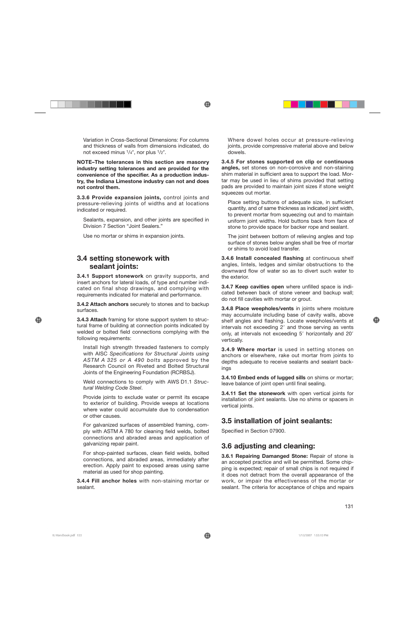Variation in Cross-Sectional Dimensions: For columns and thickness of walls from dimensions indicated, do not exceed minus  $1/4$ ", nor plus  $1/2$ ".

**NOTE–The tolerances in this section are masonry industry setting tolerances and are provided for the convenience of the specifier. As a production industry, the Indiana Limestone industry can not and does not control them.**

**3.3.6 Provide expansion joints,** control joints and pressure-relieving joints of widths and at locations indicated or required.

Sealants, expansion, and other joints are specified in Division 7 Section "Joint Sealers."

Use no mortar or shims in expansion joints.

#### **3.4 setting stonework with sealant joints:**

**3.4.1 Support stonework** on gravity supports, and insert anchors for lateral loads, of type and number indicated on final shop drawings, and complying with requirements indicated for material and performance.

**3.4.2 Attach anchors** securely to stones and to backup surfaces.

**3.4.3 Attach** framing for stone support system to structural frame of building at connection points indicated by welded or bolted field connections complying with the following requirements:

Install high strength threaded fasteners to comply with AISC *Specifications for Structural Joints using ASTM A 325 or A 490 bolts* approved by the Research Council on Riveted and Bolted Structural Joints of the Engineering Foundation (RCRBSJ).

Weld connections to comply with AWS D1.1 *Structural Welding Code Steel*.

Provide joints to exclude water or permit its escape to exterior of building. Provide weeps at locations where water could accumulate due to condensation or other causes.

For galvanized surfaces of assembled framing, comply with ASTM A 780 for cleaning field welds, bolted connections and abraded areas and application of galvanizing repair paint.

For shop-painted surfaces, clean field welds, bolted connections, and abraded areas, immediately after erection. Apply paint to exposed areas using same material as used for shop painting.

**3.4.4 Fill anchor holes** with non-staining mortar or sealant.

Where dowel holes occur at pressure-relieving joints, provide compressive material above and below dowels.

**3.4.5 For stones supported on clip or continuous angles,** set stones on non-corrosive and non-staining shim material in sufficient area to support the load. Mortar may be used in lieu of shims provided that setting pads are provided to maintain joint sizes if stone weight squeezes out mortar.

Place setting buttons of adequate size, in sufficient quantity, and of same thickness as indicated joint width, to prevent mortar from squeezing out and to maintain uniform joint widths. Hold buttons back from face of stone to provide space for backer rope and sealant.

The joint between bottom of relieving angles and top surface of stones below angles shall be free of mortar or shims to avoid load transfer.

**3.4.6 Install concealed flashing** at continuous shelf angles, lintels, ledges and similar obstructions to the downward flow of water so as to divert such water to the exterior.

**3.4.7 Keep cavities open** where unfilled space is indicated between back of stone veneer and backup wall; do not fill cavities with mortar or grout.

**3.4.8 Place weepholes/vents** in joints where moisture may accumulate including base of cavity walls, above shelf angles and flashing. Locate weepholes/vents at intervals not exceeding 2' and those serving as vents only, at intervals not exceeding 5' horizontally and 20' vertically.

**3.4.9 Where mortar** is used in setting stones on anchors or elsewhere, rake out mortar from joints to depths adequate to receive sealants and sealant backings

**3.4.10 Embed ends of lugged sills** on shims or mortar; leave balance of joint open until final sealing.

**3.4.11 Set the stonework** with open vertical joints for installation of joint sealants. Use no shims or spacers in vertical joints.

# **3.5 installation of joint sealants:**

Specified in Section 07900.

#### **3.6 adjusting and cleaning:**

**3.6.1 Repairing Damanged Stone:** Repair of stone is an accepted practice and will be permitted. Some chipping is expected; repair of small chips is not required if it does not detract from the overall appearance of the work, or impair the effectiveness of the mortar or sealant. The criteria for acceptance of chips and repairs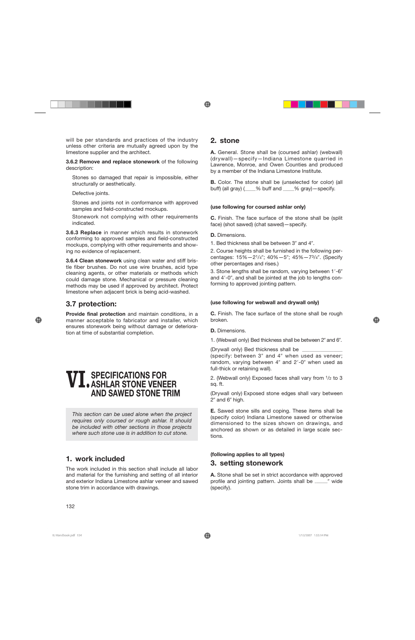will be per standards and practices of the industry unless other criteria are mutually agreed upon by the limestone supplier and the architect.

**3.6.2 Remove and replace stonework** of the following description:

Stones so damaged that repair is impossible, either structurally or aesthetically.

Defective joints.

Stones and joints not in conformance with approved samples and field-constructed mockups.

Stonework not complying with other requirements indicated.

**3.6.3 Replace** in manner which results in stonework conforming to approved samples and field-constructed mockups, complying with other requirements and showing no evidence of replacement.

**3.6.4 Clean stonework** using clean water and stiff bristle fiber brushes. Do not use wire brushes, acid type cleaning agents, or other materials or methods which could damage stone. Mechanical or pressure cleaning methods may be used if approved by architect. Protect limestone when adjacent brick is being acid-washed.

## **3.7 protection:**

**Provide final protection** and maintain conditions, in a manner acceptable to fabricator and installer, which ensures stonework being without damage or deterioration at time of substantial completion.

# **VI.SPECIFICATIONS FOR ASHLAR STONE VENEER AND SAWED STONE TRIM**

*This section can be used alone when the project requires only coursed or rough ashlar. It should be included with other sections in those projects where such stone use is in addition to cut stone.*

#### **1. work included**

The work included in this section shall include all labor and material for the furnishing and setting of all interior and exterior Indiana Limestone ashlar veneer and sawed stone trim in accordance with drawings.

#### **2. stone**

**A.** General. Stone shall be (coursed ashlar) (webwall) (drywall)—specify—Indiana Limestone quarried in Lawrence, Monroe, and Owen Counties and produced by a member of the Indiana Limestone Institute.

**B.** Color. The stone shall be (unselected for color) (all buff) (all gray) (\_\_\_\_\_\_% buff and \_\_\_\_\_\_% gray)—specify.

#### **(use following for coursed ashlar only)**

**C.** Finish. The face surface of the stone shall be (split face) (shot sawed) (chat sawed)—specify.

**D.** Dimensions.

1. Bed thickness shall be between  $3''$  and  $4''$ .

2. Course heights shall be furnished in the following percentages:  $15\% - 2\frac{1}{4}$ ;  $40\% - 5$ ;  $45\% - 7\frac{3}{4}$ . (Specify other percentages and rises.)

3. Stone lengths shall be random, varying between 1'-6" and 4'-0", and shall be jointed at the job to lengths conforming to approved jointing pattern.

#### **(use following for webwall and drywall only)**

**C.** Finish. The face surface of the stone shall be rough broken.

**D.** Dimensions.

1. (Webwall only) Bed thickness shall be between 2" and 6".

(Drywall only) Bed thickness shall be (specify: between 3" and 4" when used as veneer; random, varying between 4" and 2'-0" when used as full-thick or retaining wall).

2. (Webwall only) Exposed faces shall vary from 1/2 to 3 sq. ft.

(Drywall only) Exposed stone edges shall vary between  $2$ " and  $6$ " high.

**E.** Sawed stone sills and coping. These items shall be (specify color) Indiana Limestone sawed or otherwise dimensioned to the sizes shown on drawings, and anchored as shown or as detailed in large scale sections.

#### **(following applies to all types)**

#### **3. setting stonework**

**A.** Stone shall be set in strict accordance with approved profile and jointing pattern. Joints shall be \_\_\_\_\_" wide (specify).